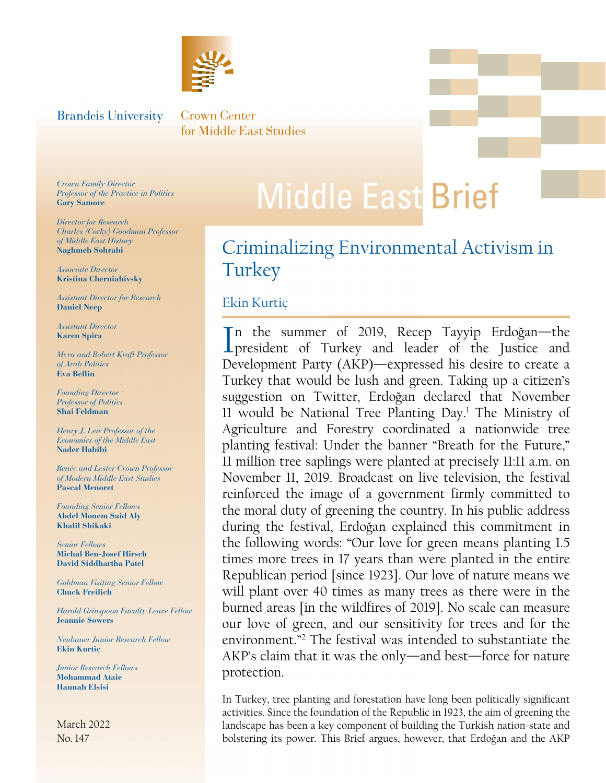

#### <span id="page-0-0"></span>**Brandeis University**

**Crown Center** for Middle East Studies

*Crown Family Director Professor of the Practice in Politics* **Gary Samore**

*Director for Research Charles (Corky) Goodman Professor of Middle East History*  **Naghmeh Sohrabi**

*Associate Director* **Kristina Cherniahivsky**

*Assistant Director for Research* **Daniel Neep**

*Assistant Director*  **Karen Spira**

*Myra and Robert Kraft Professor of Arab Politics* **Eva Bellin**

*Founding Director Professor of Politics* **Shai Feldman**

*Henry J. Leir Professor of the Economics of the Middle East* **Nader Habibi**

*Renée and Lester Crown Professor of Modern Middle East Studies* **Pascal Menoret** 

*Founding Senior Fellows* **Abdel Monem Said Aly Khalil Shikaki**

*Senior Fellows* **Michal Ben-Josef Hirsch David Siddhartha Patel**

*Goldman Visiting Senior Fellow* **Chuck Freilich**

*Harold Grinspoon Faculty Leave Fellow* **Jeannie Sowers**

*Neubauer Junior Research Fellow* **Ekin Kurtiç**

*Junior Research Fellows* **Mohammad Ataie Hannah Elsisi**

March 2022 No. 147

## **Middle East Brief**

## Criminalizing Environmental Activism in **Turkey**

#### Ekin Kurtiç

In the summer of 2019, Recep Tayyip Erdoğan—the<br>president of Turkey and leader of the Justice and n the summer of 2019, Recep Tayyip Erdoğan—the Development Party (AKP)—expressed his desire to create a Turkey that would be lush and green. Taking up a citizen's suggestion on Twitter, Erdoğan declared that November 11 would be National Tree Planting Day.<sup>1</sup> The Ministry of Agriculture and Forestry coordinated a nationwide tree planting festival: Under the banner "Breath for the Future," 11 million tree saplings were planted at precisely 11:11 a.m. on November 11, 2019. Broadcast on live television, the festival reinforced the image of a government firmly committed to the moral duty of greening the country. In his public address during the festival, Erdoğan explained this commitment in the following words: "Our love for green means planting 1.5 times more trees in 17 years than were planted in the entire Republican period [since 1923]. Our love of nature means we will plant over 40 times as many trees as there were in the burned areas [in the wildfires of 2019]. No scale can measure our love of green, and our sensitivity for trees and for the environment."[2](#page-7-0) The festival was intended to substantiate the AKP's claim that it was the only—and best—force for nature protection.

 activities. Since the foundation of the Republic in 1923, the aim of greening the In Turkey, tree planting and forestation have long been politically significant landscape has been a key component of building the Turkish nation-state and bolstering its power. This Brief argues, however, that Erdoğan and the AKP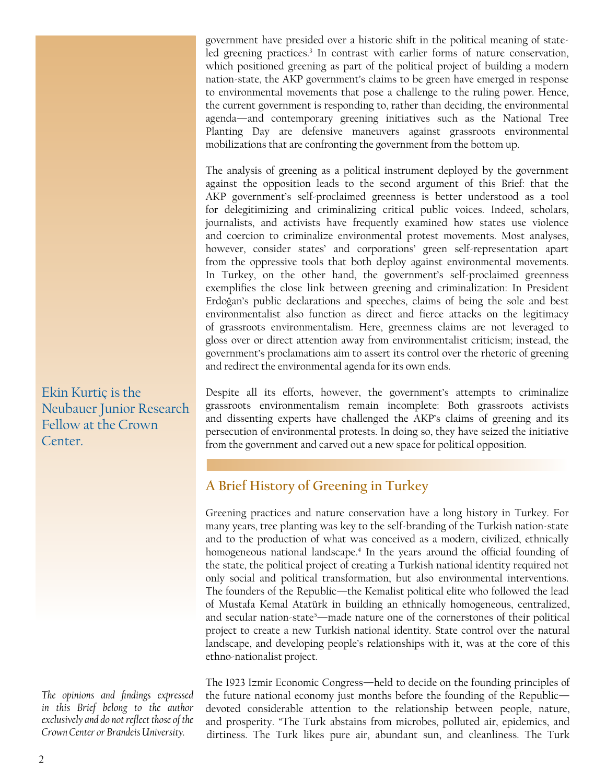<span id="page-1-0"></span>government have presided over a historic shift in the political meaning of state-led greening practices.<sup>[3](#page-7-0)</sup> In contrast with earlier forms of nature conservation, which positioned greening as part of the political project of building a modern nation-state, the AKP government's claims to be green have emerged in response to environmental movements that pose a challenge to the ruling power. Hence, the current government is responding to, rather than deciding, the environmental agenda—and contemporary greening initiatives such as the National Tree Planting Day are defensive maneuvers against grassroots environmental mobilizations that are confronting the government from the bottom up.

The analysis of greening as a political instrument deployed by the government against the opposition leads to the second argument of this Brief: that the AKP government's self-proclaimed greenness is better understood as a tool for delegitimizing and criminalizing critical public voices. Indeed, scholars, journalists, and activists have frequently examined how states use violence and coercion to criminalize environmental protest movements. Most analyses, however, consider states' and corporations' green self-representation apart from the oppressive tools that both deploy against environmental movements. In Turkey, on the other hand, the government's self-proclaimed greenness exemplifies the close link between greening and criminalization: In President Erdoğan's public declarations and speeches, claims of being the sole and best environmentalist also function as direct and fierce attacks on the legitimacy of grassroots environmentalism. Here, greenness claims are not leveraged to gloss over or direct attention away from environmentalist criticism; instead, the government's proclamations aim to assert its control over the rhetoric of greening and redirect the environmental agenda for its own ends.

Despite all its efforts, however, the government's attempts to criminalize grassroots environmentalism remain incomplete: Both grassroots activists and dissenting experts have challenged the AKP's claims of greening and its persecution of environmental protests. In doing so, they have seized the initiative from the government and carved out a new space for political opposition.

#### **A Brief History of Greening in Turkey**

Greening practices and nature conservation have a long history in Turkey. For many years, tree planting was key to the self-branding of the Turkish nation-state and to the production of what was conceived as a modern, civilized, ethnically homogeneous national landscape.[4](#page-7-0) In the years around the official founding of the state, the political project of creating a Turkish national identity required not only social and political transformation, but also environmental interventions. The founders of the Republic—the Kemalist political elite who followed the lead of Mustafa Kemal Atatürk in building an ethnically homogeneous, centralized, and secular nation-state<sup>5</sup>—made nature one of the cornerstones of their political project to create a new Turkish national identity. State control over the natural landscape, and developing people's relationships with it, was at the core of this ethno-nationalist project.

The 1923 Izmir Economic Congress—held to decide on the founding principles of the future national economy just months before the founding of the Republic devoted considerable attention to the relationship between people, nature, and prosperity. "The Turk abstains from microbes, polluted air, epidemics, and dirtiness. The Turk likes pure air, abundant sun, and cleanliness. The Turk

Ekin Kurtiç is the Neubauer Junior Research Fellow at the Crown Center.

*The opinions and findings expressed in this Brief belong to the author exclusively and do not reflect those of the Crown Center or Brandeis University.*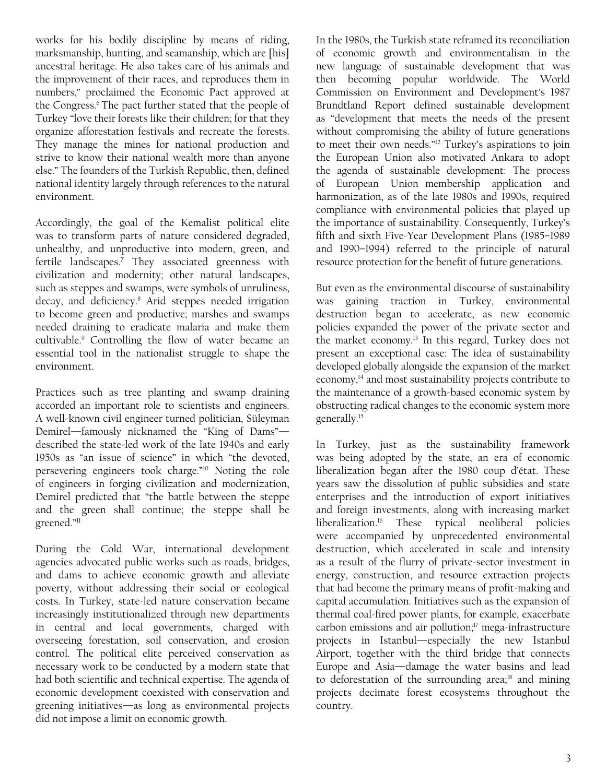<span id="page-2-0"></span>works for his bodily discipline by means of riding, marksmanship, hunting, and seamanship, which are [his] ancestral heritage. He also takes care of his animals and the improvement of their races, and reproduces them in numbers," proclaimed the Economic Pact approved at the Congress.<sup>[6](#page-7-0)</sup> The pact further stated that the people of Turkey "love their forests like their children; for that they organize afforestation festivals and recreate the forests. They manage the mines for national production and strive to know their national wealth more than anyone else." The founders of the Turkish Republic, then, defined national identity largely through references to the natural environment.

Accordingly, the goal of the Kemalist political elite was to transform parts of nature considered degraded, unhealthy, and unproductive into modern, green, and fertile landscapes.**[7](#page-7-0)** They associated greenness with civilization and modernity; other natural landscapes, such as steppes and swamps, were symbols of unruliness, decay, and deficiency.[8](#page-7-0) Arid steppes needed irrigation to become green and productive; marshes and swamps needed draining to eradicate malaria and make them cultivable[.9](#page-7-0) Controlling the flow of water became an essential tool in the nationalist struggle to shape the environment.

Practices such as tree planting and swamp draining accorded an important role to scientists and engineers. A well-known civil engineer turned politician, Süleyman Demirel—famously nicknamed the "King of Dams" described the state-led work of the late 1940s and early 1950s as "an issue of science" in which "the devoted, persevering engineers took charge.["10](#page-7-0) Noting the role of engineers in forging civilization and modernization, Demirel predicted that "the battle between the steppe and the green shall continue; the steppe shall be greened.["11](#page-7-0)

During the Cold War, international development agencies advocated public works such as roads, bridges, and dams to achieve economic growth and alleviate poverty, without addressing their social or ecological costs. In Turkey, state-led nature conservation became increasingly institutionalized through new departments in central and local governments, charged with overseeing forestation, soil conservation, and erosion control. The political elite perceived conservation as necessary work to be conducted by a modern state that had both scientific and technical expertise. The agenda of economic development coexisted with conservation and greening initiatives—as long as environmental projects did not impose a limit on economic growth.

In the 1980s, the Turkish state reframed its reconciliation of economic growth and environmentalism in the new language of sustainable development that was then becoming popular worldwide. The World Commission on Environment and Development's 1987 Brundtland Report defined sustainable development as "development that meets the needs of the present without compromising the ability of future generations to meet their own needs."[12](#page-7-0) Turkey's aspirations to join the European Union also motivated Ankara to adopt the agenda of sustainable development: The process of European Union membership application and harmonization, as of the late 1980s and 1990s, required compliance with environmental policies that played up the importance of sustainability. Consequently, Turkey's fifth and sixth Five-Year Development Plans (1985–1989 and 1990–1994) referred to the principle of natural resource protection for the benefit of future generations.

But even as the environmental discourse of sustainability was gaining traction in Turkey, environmental destruction began to accelerate, as new economic policies expanded the power of the private sector and the market economy[.13](#page-7-0) In this regard, Turkey does not present an exceptional case: The idea of sustainability developed globally alongside the expansion of the market economy,<sup>[14](#page-7-0)</sup> and most sustainability projects contribute to the maintenance of a growth-based economic system by obstructing radical changes to the economic system more generally[.15](#page-7-0)

In Turkey, just as the sustainability framework was being adopted by the state, an era of economic liberalization began after the 1980 coup d'état. These years saw the dissolution of public subsidies and state enterprises and the introduction of export initiatives and foreign investments, along with increasing market liberalization[.16](#page-8-0) These typical neoliberal policies were accompanied by unprecedented environmental destruction, which accelerated in scale and intensity as a result of the flurry of private-sector investment in energy, construction, and resource extraction projects that had become the primary means of profit-making and capital accumulation. Initiatives such as the expansion of thermal coal-fired power plants, for example, exacerbate carbon emissions and air pollution;<sup>17</sup> mega-infrastructure projects in Istanbul—especially the new Istanbul Airport, together with the third bridge that connects Europe and Asia—damage the water basins and lead to deforestation of the surrounding area;<sup>18</sup> and mining projects decimate forest ecosystems throughout the country.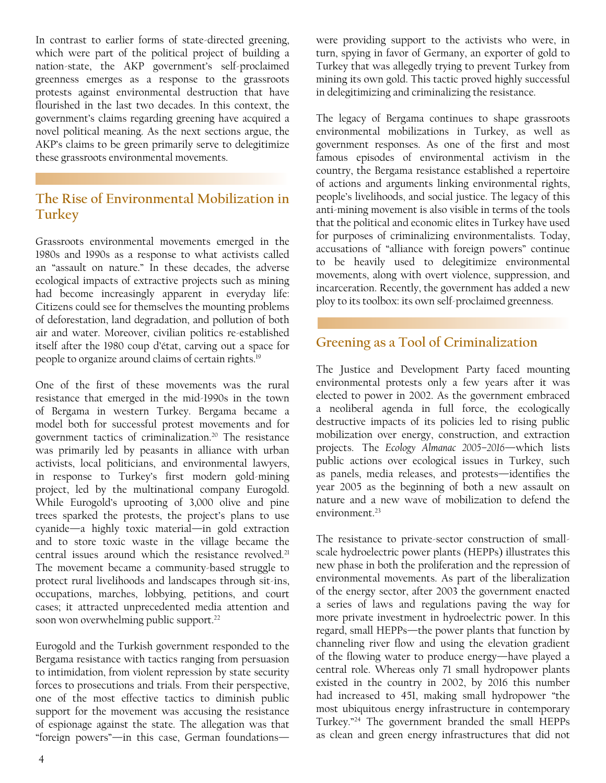<span id="page-3-0"></span>In contrast to earlier forms of state-directed greening, which were part of the political project of building a nation-state, the AKP government's self-proclaimed greenness emerges as a response to the grassroots protests against environmental destruction that have flourished in the last two decades. In this context, the government's claims regarding greening have acquired a novel political meaning. As the next sections argue, the AKP's claims to be green primarily serve to delegitimize these grassroots environmental movements.

#### **The Rise of Environmental Mobilization in Turkey**

Grassroots environmental movements emerged in the 1980s and 1990s as a response to what activists called an "assault on nature." In these decades, the adverse ecological impacts of extractive projects such as mining had become increasingly apparent in everyday life: Citizens could see for themselves the mounting problems of deforestation, land degradation, and pollution of both air and water. Moreover, civilian politics re-established itself after the 1980 coup d'état, carving out a space for people to organize around claims of certain rights.<sup>[19](#page-8-0)</sup>

One of the first of these movements was the rural resistance that emerged in the mid-1990s in the town of Bergama in western Turkey. Bergama became a model both for successful protest movements and for government tactics of criminalization.<sup>[20](#page-8-0)</sup> The resistance was primarily led by peasants in alliance with urban activists, local politicians, and environmental lawyers, in response to Turkey's first modern gold-mining project, led by the multinational company Eurogold. While Eurogold's uprooting of 3,000 olive and pine trees sparked the protests, the project's plans to use cyanide—a highly toxic material—in gold extraction and to store toxic waste in the village became the central issues around which the resistance revolved.<sup>21</sup> The movement became a community-based struggle to protect rural livelihoods and landscapes through sit-ins, occupations, marches, lobbying, petitions, and court cases; it attracted unprecedented media attention and soon won overwhelming public support.<sup>22</sup>

Eurogold and the Turkish government responded to the Bergama resistance with tactics ranging from persuasion to intimidation, from violent repression by state security forces to prosecutions and trials. From their perspective, one of the most effective tactics to diminish public support for the movement was accusing the resistance of espionage against the state. The allegation was that "foreign powers"—in this case, German foundationswere providing support to the activists who were, in turn, spying in favor of Germany, an exporter of gold to Turkey that was allegedly trying to prevent Turkey from mining its own gold. This tactic proved highly successful in delegitimizing and criminalizing the resistance.

The legacy of Bergama continues to shape grassroots environmental mobilizations in Turkey, as well as government responses. As one of the first and most famous episodes of environmental activism in the country, the Bergama resistance established a repertoire of actions and arguments linking environmental rights, people's livelihoods, and social justice. The legacy of this anti-mining movement is also visible in terms of the tools that the political and economic elites in Turkey have used for purposes of criminalizing environmentalists. Today, accusations of "alliance with foreign powers" continue to be heavily used to delegitimize environmental movements, along with overt violence, suppression, and incarceration. Recently, the government has added a new ploy to its toolbox: its own self-proclaimed greenness.

#### **Greening as a Tool of Criminalization**

The Justice and Development Party faced mounting environmental protests only a few years after it was elected to power in 2002. As the government embraced a neoliberal agenda in full force, the ecologically destructive impacts of its policies led to rising public mobilization over energy, construction, and extraction projects. The *Ecology Almanac 2005–2016—*which lists public actions over ecological issues in Turkey, such as panels, media releases, and protests—identifies the year 2005 as the beginning of both a new assault on nature and a new wave of mobilization to defend the environment<sup>[23](#page-8-0)</sup>

The resistance to private-sector construction of smallscale hydroelectric power plants (HEPPs) illustrates this new phase in both the proliferation and the repression of environmental movements. As part of the liberalization of the energy sector, after 2003 the government enacted a series of laws and regulations paving the way for more private investment in hydroelectric power. In this regard, small HEPPs—the power plants that function by channeling river flow and using the elevation gradient of the flowing water to produce energy—have played a central role. Whereas only 71 small hydropower plants existed in the country in 2002, by 2016 this number had increased to 451, making small hydropower "the most ubiquitous energy infrastructure in contemporary Turkey."[24](#page-8-0) The government branded the small HEPPs as clean and green energy infrastructures that did not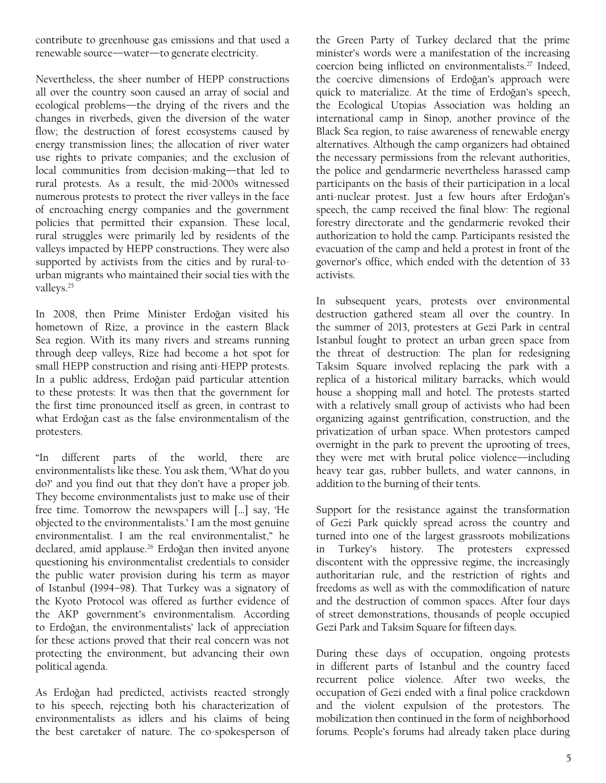<span id="page-4-0"></span>contribute to greenhouse gas emissions and that used a renewable source—water—to generate electricity.

Nevertheless, the sheer number of HEPP constructions all over the country soon caused an array of social and ecological problems—the drying of the rivers and the changes in riverbeds, given the diversion of the water flow; the destruction of forest ecosystems caused by energy transmission lines; the allocation of river water use rights to private companies; and the exclusion of local communities from decision-making—that led to rural protests. As a result, the mid-2000s witnessed numerous protests to protect the river valleys in the face of encroaching energy companies and the government policies that permitted their expansion. These local, rural struggles were primarily led by residents of the valleys impacted by HEPP constructions. They were also supported by activists from the cities and by rural-tourban migrants who maintained their social ties with the valleys.<sup>25</sup>

In 2008, then Prime Minister Erdoğan visited his hometown of Rize, a province in the eastern Black Sea region. With its many rivers and streams running through deep valleys, Rize had become a hot spot for small HEPP construction and rising anti-HEPP protests. In a public address, Erdoğan paid particular attention to these protests: It was then that the government for the first time pronounced itself as green, in contrast to what Erdoğan cast as the false environmentalism of the protesters.

"In different parts of the world, there are environmentalists like these. You ask them, 'What do you do?' and you find out that they don't have a proper job. They become environmentalists just to make use of their free time. Tomorrow the newspapers will […] say, 'He objected to the environmentalists.' I am the most genuine environmentalist. I am the real environmentalist," he declared, amid applause.<sup>[26](#page-8-0)</sup> Erdoğan then invited anyone questioning his environmentalist credentials to consider the public water provision during his term as mayor of Istanbul (1994–98). That Turkey was a signatory of the Kyoto Protocol was offered as further evidence of the AKP government's environmentalism. According to Erdoğan, the environmentalists' lack of appreciation for these actions proved that their real concern was not protecting the environment, but advancing their own political agenda.

As Erdoğan had predicted, activists reacted strongly to his speech, rejecting both his characterization of environmentalists as idlers and his claims of being the best caretaker of nature. The co-spokesperson of

the Green Party of Turkey declared that the prime minister's words were a manifestation of the increasing coercion being inflicted on environmentalists.<sup>[27](#page-8-0)</sup> Indeed, the coercive dimensions of Erdoğan's approach were quick to materialize. At the time of Erdoğan's speech, the Ecological Utopias Association was holding an international camp in Sinop, another province of the Black Sea region, to raise awareness of renewable energy alternatives. Although the camp organizers had obtained the necessary permissions from the relevant authorities, the police and gendarmerie nevertheless harassed camp participants on the basis of their participation in a local anti-nuclear protest. Just a few hours after Erdoğan's speech, the camp received the final blow: The regional forestry directorate and the gendarmerie revoked their authorization to hold the camp. Participants resisted the evacuation of the camp and held a protest in front of the governor's office, which ended with the detention of 33 activists.

In subsequent years, protests over environmental destruction gathered steam all over the country. In the summer of 2013, protesters at Gezi Park in central Istanbul fought to protect an urban green space from the threat of destruction: The plan for redesigning Taksim Square involved replacing the park with a replica of a historical military barracks, which would house a shopping mall and hotel. The protests started with a relatively small group of activists who had been organizing against gentrification, construction, and the privatization of urban space. When protestors camped overnight in the park to prevent the uprooting of trees, they were met with brutal police violence—including heavy tear gas, rubber bullets, and water cannons, in addition to the burning of their tents.

Support for the resistance against the transformation of Gezi Park quickly spread across the country and turned into one of the largest grassroots mobilizations in Turkey's history. The protesters expressed discontent with the oppressive regime, the increasingly authoritarian rule, and the restriction of rights and freedoms as well as with the commodification of nature and the destruction of common spaces. After four days of street demonstrations, thousands of people occupied Gezi Park and Taksim Square for fifteen days.

During these days of occupation, ongoing protests in different parts of Istanbul and the country faced recurrent police violence. After two weeks, the occupation of Gezi ended with a final police crackdown and the violent expulsion of the protestors. The mobilization then continued in the form of neighborhood forums. People's forums had already taken place during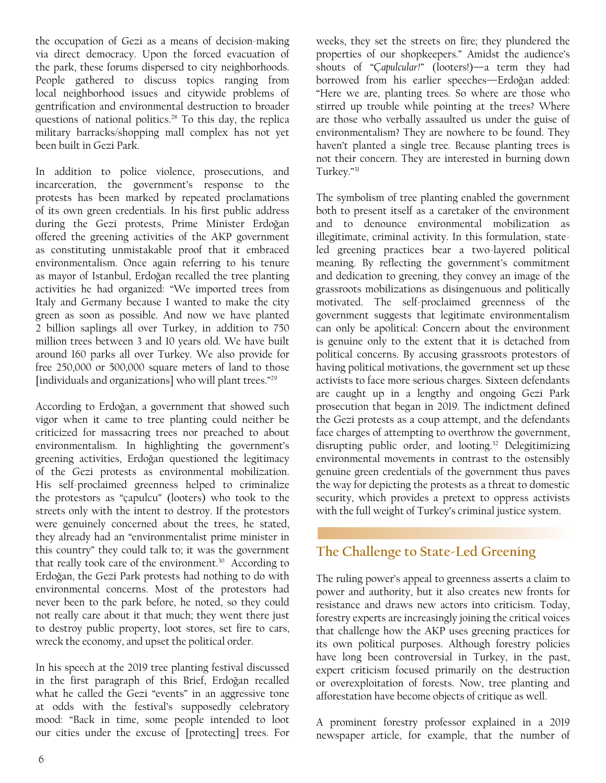<span id="page-5-0"></span>the occupation of Gezi as a means of decision-making via direct democracy. Upon the forced evacuation of the park, these forums dispersed to city neighborhoods. People gathered to discuss topics ranging from local neighborhood issues and citywide problems of gentrification and environmental destruction to broader questions of national politics.<sup>[28](#page-8-0)</sup> To this day, the replica military barracks/shopping mall complex has not yet been built in Gezi Park.

In addition to police violence, prosecutions, and incarceration, the government's response to the protests has been marked by repeated proclamations of its own green credentials. In his first public address during the Gezi protests, Prime Minister Erdoğan offered the greening activities of the AKP government as constituting unmistakable proof that it embraced environmentalism. Once again referring to his tenure as mayor of Istanbul, Erdoğan recalled the tree planting activities he had organized: "We imported trees from Italy and Germany because I wanted to make the city green as soon as possible. And now we have planted 2 billion saplings all over Turkey, in addition to 750 million trees between 3 and 10 years old. We have built around 160 parks all over Turkey. We also provide for free 250,000 or 500,000 square meters of land to those [individuals and organizations] who will plant trees."<sup>[29](#page-8-0)</sup>

According to Erdoğan, a government that showed such vigor when it came to tree planting could neither be criticized for massacring trees nor preached to about environmentalism. In highlighting the government's greening activities, Erdoğan questioned the legitimacy of the Gezi protests as environmental mobilization. His self-proclaimed greenness helped to criminalize the protestors as "çapulcu" (looters) who took to the streets only with the intent to destroy. If the protestors were genuinely concerned about the trees, he stated, they already had an "environmentalist prime minister in this country" they could talk to; it was the government that really took care of the environment.<sup>30</sup> According to Erdoğan, the Gezi Park protests had nothing to do with environmental concerns. Most of the protestors had never been to the park before, he noted, so they could not really care about it that much; they went there just to destroy public property, loot stores, set fire to cars, wreck the economy, and upset the political order.

In his speech at the 2019 tree planting festival discussed in the first paragraph of this Brief, Erdoğan recalled what he called the Gezi "events" in an aggressive tone at odds with the festival's supposedly celebratory mood: "Back in time, some people intended to loot our cities under the excuse of [protecting] trees. For

weeks, they set the streets on fire; they plundered the properties of our shopkeepers." Amidst the audience's shouts of "Ç*apulcular!*" (looters!)—a term they had borrowed from his earlier speeches—Erdoğan added: "Here we are, planting trees. So where are those who stirred up trouble while pointing at the trees? Where are those who verbally assaulted us under the guise of environmentalism? They are nowhere to be found. They haven't planted a single tree. Because planting trees is not their concern. They are interested in burning down Turkey."[31](#page-8-0)

The symbolism of tree planting enabled the government both to present itself as a caretaker of the environment and to denounce environmental mobilization as illegitimate, criminal activity. In this formulation, stateled greening practices bear a two-layered political meaning. By reflecting the government's commitment and dedication to greening, they convey an image of the grassroots mobilizations as disingenuous and politically motivated. The self-proclaimed greenness of the government suggests that legitimate environmentalism can only be apolitical: Concern about the environment is genuine only to the extent that it is detached from political concerns. By accusing grassroots protestors of having political motivations, the government set up these activists to face more serious charges. Sixteen defendants are caught up in a lengthy and ongoing Gezi Park prosecution that began in 2019. The indictment defined the Gezi protests as a coup attempt, and the defendants face charges of attempting to overthrow the government, disrupting public order, and looting.<sup>32</sup> Delegitimizing environmental movements in contrast to the ostensibly genuine green credentials of the government thus paves the way for depicting the protests as a threat to domestic security, which provides a pretext to oppress activists with the full weight of Turkey's criminal justice system.

#### **The Challenge to State-Led Greening**

The ruling power's appeal to greenness asserts a claim to power and authority, but it also creates new fronts for resistance and draws new actors into criticism. Today, forestry experts are increasingly joining the critical voices that challenge how the AKP uses greening practices for its own political purposes. Although forestry policies have long been controversial in Turkey, in the past, expert criticism focused primarily on the destruction or overexploitation of forests. Now, tree planting and afforestation have become objects of critique as well.

A prominent forestry professor explained in a 2019 newspaper article, for example, that the number of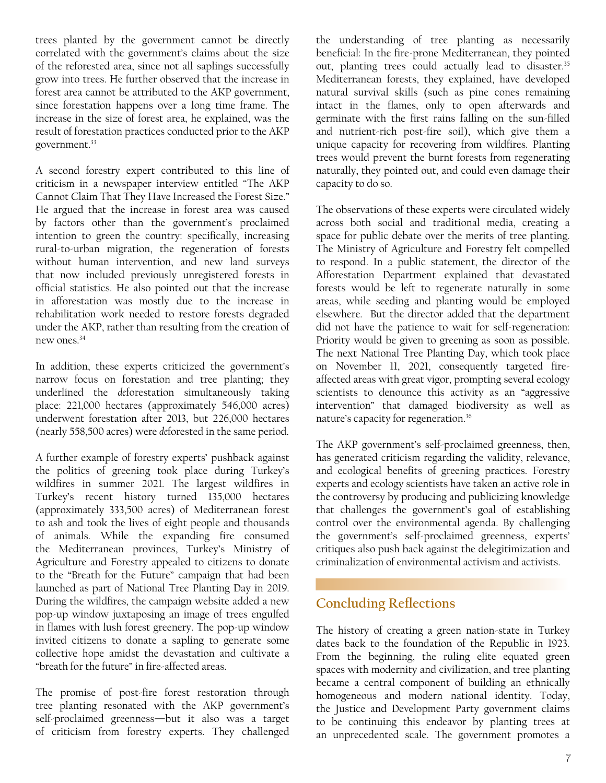<span id="page-6-0"></span>trees planted by the government cannot be directly correlated with the government's claims about the size of the reforested area, since not all saplings successfully grow into trees. He further observed that the increase in forest area cannot be attributed to the AKP government, since forestation happens over a long time frame. The increase in the size of forest area, he explained, was the result of forestation practices conducted prior to the AKP government.<sup>[33](#page-8-0)</sup>

A second forestry expert contributed to this line of criticism in a newspaper interview entitled "The AKP Cannot Claim That They Have Increased the Forest Size." He argued that the increase in forest area was caused by factors other than the government's proclaimed intention to green the country: specifically, increasing rural-to-urban migration, the regeneration of forests without human intervention, and new land surveys that now included previously unregistered forests in official statistics. He also pointed out that the increase in afforestation was mostly due to the increase in rehabilitation work needed to restore forests degraded under the AKP, rather than resulting from the creation of new ones[.34](#page-8-0)

In addition, these experts criticized the government's narrow focus on forestation and tree planting; they underlined the *de*forestation simultaneously taking place: 221,000 hectares (approximately 546,000 acres) underwent forestation after 2013, but 226,000 hectares (nearly 558,500 acres) were *de*forested in the same period.

A further example of forestry experts' pushback against the politics of greening took place during Turkey's wildfires in summer 2021. The largest wildfires in Turkey's recent history turned 135,000 hectares (approximately 333,500 acres) of Mediterranean forest to ash and took the lives of eight people and thousands of animals. While the expanding fire consumed the Mediterranean provinces, Turkey's Ministry of Agriculture and Forestry appealed to citizens to donate to the "Breath for the Future" campaign that had been launched as part of National Tree Planting Day in 2019. During the wildfires, the campaign website added a new pop-up window juxtaposing an image of trees engulfed in flames with lush forest greenery. The pop-up window invited citizens to donate a sapling to generate some collective hope amidst the devastation and cultivate a "breath for the future" in fire-affected areas.

The promise of post-fire forest restoration through tree planting resonated with the AKP government's self-proclaimed greenness—but it also was a target of criticism from forestry experts. They challenged the understanding of tree planting as necessarily beneficial: In the fire-prone Mediterranean, they pointed out, planting trees could actually lead to disaster.<sup>[35](#page-8-0)</sup> Mediterranean forests, they explained, have developed natural survival skills (such as pine cones remaining intact in the flames, only to open afterwards and germinate with the first rains falling on the sun-filled and nutrient-rich post-fire soil), which give them a unique capacity for recovering from wildfires. Planting trees would prevent the burnt forests from regenerating naturally, they pointed out, and could even damage their capacity to do so.

The observations of these experts were circulated widely across both social and traditional media, creating a space for public debate over the merits of tree planting. The Ministry of Agriculture and Forestry felt compelled to respond. In a public statement, the director of the Afforestation Department explained that devastated forests would be left to regenerate naturally in some areas, while seeding and planting would be employed elsewhere. But the director added that the department did not have the patience to wait for self-regeneration: Priority would be given to greening as soon as possible. The next National Tree Planting Day, which took place on November 11, 2021, consequently targeted fireaffected areas with great vigor, prompting several ecology scientists to denounce this activity as an "aggressive intervention" that damaged biodiversity as well as nature's capacity for regeneration.[36](#page-8-0) 

The AKP government's self-proclaimed greenness, then, has generated criticism regarding the validity, relevance, and ecological benefits of greening practices. Forestry experts and ecology scientists have taken an active role in the controversy by producing and publicizing knowledge that challenges the government's goal of establishing control over the environmental agenda. By challenging the government's self-proclaimed greenness, experts' critiques also push back against the delegitimization and criminalization of environmental activism and activists.

#### **Concluding Reflections**

The history of creating a green nation-state in Turkey dates back to the foundation of the Republic in 1923. From the beginning, the ruling elite equated green spaces with modernity and civilization, and tree planting became a central component of building an ethnically homogeneous and modern national identity. Today, the Justice and Development Party government claims to be continuing this endeavor by planting trees at an unprecedented scale. The government promotes a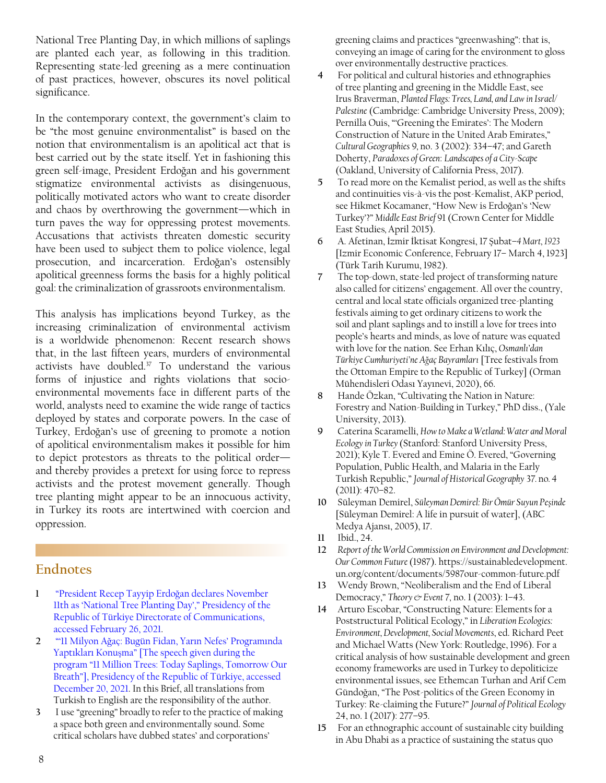<span id="page-7-0"></span>National Tree Planting Day, in which millions of saplings are planted each year, as following in this tradition. Representing state-led greening as a mere continuation of past practices, however, obscures its novel political significance.

In the contemporary context, the government's claim to be "the most genuine environmentalist" is based on the notion that environmentalism is an apolitical act that is best carried out by the state itself. Yet in fashioning this green self-image, President Erdoğan and his government stigmatize environmental activists as disingenuous, politically motivated actors who want to create disorder and chaos by overthrowing the government—which in turn paves the way for oppressing protest movements. Accusations that activists threaten domestic security have been used to subject them to police violence, legal prosecution, and incarceration. Erdoğan's ostensibly apolitical greenness forms the basis for a highly political goal: the criminalization of grassroots environmentalism.

This analysis has implications beyond Turkey, as the increasing criminalization of environmental activism is a worldwide phenomenon: Recent research shows that, in the last fifteen years, murders of environmental activists have doubled.[37](#page-8-0) To understand the various forms of injustice and rights violations that socioenvironmental movements face in different parts of the world, analysts need to examine the wide range of tactics deployed by states and corporate powers. In the case of Turkey, Erdoğan's use of greening to promote a notion of apolitical environmentalism makes it possible for him to depict protestors as threats to the political order and thereby provides a pretext for using force to repress activists and the protest movement generally. Though tree planting might appear to be an innocuous activity, in Turkey its roots are intertwined with coercion and oppression.

#### **Endnotes**

- **1** ["President Recep Tayyip Erdo](https://www.iletisim.gov.tr/english/haberler/detay/president-recep-tayyip-erdogan-declares-november-11th-as-national-tree-planting-day)ğan declares November [11th as 'National Tree Planting Day'," Presidency of the](https://www.iletisim.gov.tr/english/haberler/detay/president-recep-tayyip-erdogan-declares-november-11th-as-national-tree-planting-day)  [Republic of Türkiye Directorate of Communications,](https://www.iletisim.gov.tr/english/haberler/detay/president-recep-tayyip-erdogan-declares-november-11th-as-national-tree-planting-day)  [accessed February 26, 2021.](https://www.iletisim.gov.tr/english/haberler/detay/president-recep-tayyip-erdogan-declares-november-11th-as-national-tree-planting-day)
- **[2](#page-0-0)** "'11 Milyon Ağ[aç: Bugün Fidan, Yarın Nefes' Programında](https://www.tccb.gov.tr/konusmalar/353/112516/-11-milyon-agac-bugun-fidan-yarin-nefes-programinda-yaptiklari-konusma)  Yaptıkları Konuş[ma" \[The speech given during the](https://www.tccb.gov.tr/konusmalar/353/112516/-11-milyon-agac-bugun-fidan-yarin-nefes-programinda-yaptiklari-konusma)  [program "11 Million Trees: Today Saplings, Tomorrow Our](https://www.tccb.gov.tr/konusmalar/353/112516/-11-milyon-agac-bugun-fidan-yarin-nefes-programinda-yaptiklari-konusma)  [Breath"\], Presidency of the Republic of Türkiye, accessed](https://www.tccb.gov.tr/konusmalar/353/112516/-11-milyon-agac-bugun-fidan-yarin-nefes-programinda-yaptiklari-konusma)  [December 20, 2021.](https://www.tccb.gov.tr/konusmalar/353/112516/-11-milyon-agac-bugun-fidan-yarin-nefes-programinda-yaptiklari-konusma) In this Brief, all translations from Turkish to English are the responsibility of the author.
- **[3](#page-1-0)** I use "greening" broadly to refer to the practice of making a space both green and environmentally sound. Some critical scholars have dubbed states' and corporations'

greening claims and practices "greenwashing": that is, conveying an image of caring for the environment to gloss over environmentally destructive practices.

- **[4](#page-1-0)** For political and cultural histories and ethnographies of tree planting and greening in the Middle East, see Irus Braverman, *Planted Flags: Trees, Land, and Law in Israel/ Palestine* (Cambridge: Cambridge University Press, 2009); Pernilla Ouis, "'Greening the Emirates': The Modern Construction of Nature in the United Arab Emirates," *Cultural Geographies* 9*,* no. 3 (2002): 334–47; and Gareth Doherty, *Paradoxes of Green*: *Landscapes of a City-Scape* (Oakland, University of California Press, 2017).
- **[5](#page-1-0)** To read more on the Kemalist period, as well as the shifts and continuities vis-à-vis the post-Kemalist, AKP period, see Hikmet Kocamaner, "How New is Erdoğan's 'New Turkey'?" *Middle East Brief* 91 (Crown Center for Middle East Studies*,* April 2015).
- **[6](#page-2-0)** A. Afetinan, İzmir İktisat Kongresi, 17 Şubat*–4 Mart, 1923* [Izmir Economic Conference, February 17– March 4, 1923] (Türk Tarih Kurumu, 1982).
- **[7](#page-2-0)** The top-down, state-led project of transforming nature also called for citizens' engagement. All over the country, central and local state officials organized tree-planting festivals aiming to get ordinary citizens to work the soil and plant saplings and to instill a love for trees into people's hearts and minds, as love of nature was equated with love for the nation. See Erhan Kılıç, *Osmanlı'dan Türkiye Cumhuriyeti'ne Ağaç Bayramları* [Tree festivals from the Ottoman Empire to the Republic of Turkey] (Orman Mühendisleri Odası Yayınevi, 2020), 66.
- **[8](#page-2-0)** Hande Özkan, "Cultivating the Nation in Nature: Forestry and Nation-Building in Turkey," PhD diss., (Yale University, 2013).
- **[9](#page-2-0)** Caterina Scaramelli, *How to Make a Wetland: Water and Moral Ecology in Turkey* (Stanford: Stanford University Press, 2021); Kyle T. Evered and Emine Ö. Evered, "Governing Population, Public Health, and Malaria in the Early Turkish Republic," *Journal of Historical Geography* 37*.* no*.* 4 (2011): 470–82.
- **[10](#page-2-0)** Süleyman Demirel, *Süleyman Demirel: Bir Ömür Suyun Peşinde*  [Süleyman Demirel: A life in pursuit of water], (ABC Medya Ajansı, 2005), 17.
- **[11](#page-2-0)** Ibid., 24.
- **[12](#page-2-0)** *Report of the World Commission on Environment and Development: Our Common Future* (1987). https://sustainabledevelopment. un.org/content/documents/5987our-common-future.pdf
- **[13](#page-2-0)** Wendy Brown, "Neoliberalism and the End of Liberal Democracy," *Theory & Event* 7*,* no. 1 (2003): 1–43.
- **[14](#page-2-0)** Arturo Escobar, "Constructing Nature: Elements for a Poststructural Political Ecology," in *Liberation Ecologies: Environment, Development, Social Movements*, ed. Richard Peet and Michael Watts (New York: Routledge, 1996). For a critical analysis of how sustainable development and green economy frameworks are used in Turkey to depoliticize environmental issues, see Ethemcan Turhan and Arif Cem Gündoğan, "The Post-politics of the Green Economy in Turkey: Re-claiming the Future?" *Journal of Political Ecology* 24, no. 1 (2017): 277–95.
- **[15](#page-2-0)** For an ethnographic account of sustainable city building in Abu Dhabi as a practice of sustaining the status quo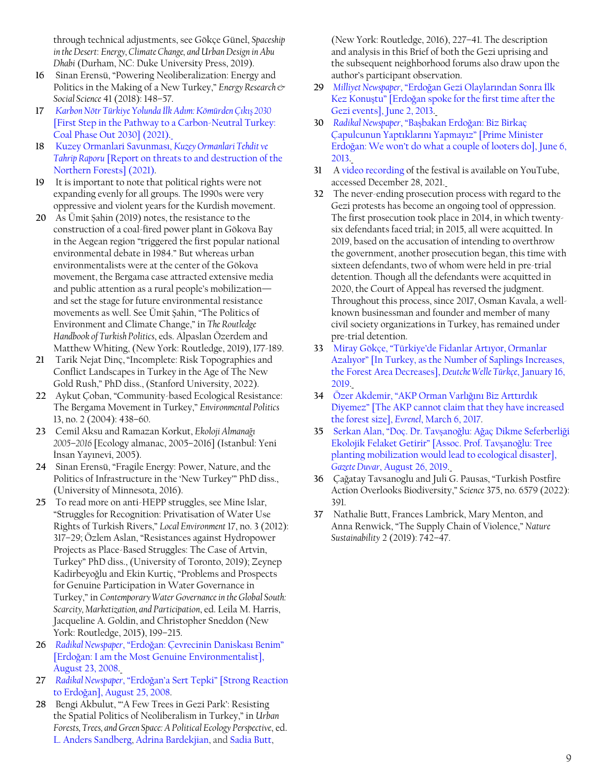<span id="page-8-0"></span>through technical adjustments, see Gökçe Günel, *Spaceship in the Desert*: *Energy, Climate Change, and Urban Design in Abu Dhabi* (Durham, NC: Duke University Press, 2019).

- **[16](#page-2-0)** Sinan Erensü, "Powering Neoliberalization: Energy and Politics in the Making of a New Turkey," *Energy Research & Social Science* 41 (2018): 148–57.
- **[17](#page-2-0)** *[Karbon Nötr Türkiye Yolunda](https://sefia.org/wp-content/uploads/2021/12/komurden-cikis-2030-min.pdf) İlk Adım: Kömürden Çıkış 2030*  [\[First Step in the Pathway to a Carbon-Neutral Turkey:](https://sefia.org/wp-content/uploads/2021/12/komurden-cikis-2030-min.pdf)  [Coal Phase Out 2030\] \(2021\)](https://sefia.org/wp-content/uploads/2021/12/komurden-cikis-2030-min.pdf).
- **[18](#page-2-0)** [Kuzey Ormanlari Savunması,](https://kuzeyormanlariarastirma.org/wp-content/uploads/2021/08/kod_tt.pdf) *Kuzey Ormanlari Tehdit ve Tahrip Raporu* [\[Report on threats to and destruction of the](https://kuzeyormanlariarastirma.org/wp-content/uploads/2021/08/kod_tt.pdf)  [Northern Forests\] \(2021\).](https://kuzeyormanlariarastirma.org/wp-content/uploads/2021/08/kod_tt.pdf)
- **[19](#page-3-0)** It is important to note that political rights were not expanding evenly for all groups. The 1990s were very oppressive and violent years for the Kurdish movement.
- **[20](#page-3-0)** As Ümit Şahin (2019) notes, the resistance to the construction of a coal-fired power plant in Gökova Bay in the Aegean region "triggered the first popular national environmental debate in 1984." But whereas urban environmentalists were at the center of the Gökova movement, the Bergama case attracted extensive media and public attention as a rural people's mobilization and set the stage for future environmental resistance movements as well. See Ümit Şahin, "The Politics of Environment and Climate Change," in *The Routledge Handbook of Turkish Politics*, eds. Alpaslan Özerdem and Matthew Whiting, (New York: Routledge, 2019), 177-189.
- **[21](#page-3-0)** Tarik Nejat Dinç,"Incomplete: Risk Topographies and Conflict Landscapes in Turkey in the Age of The New Gold Rush," PhD diss., (Stanford University, 2022).
- **[22](#page-3-0)** Aykut Çoban, "Community-based Ecological Resistance: The Bergama Movement in Turkey," *Environmental Politics* 13, no. 2 (2004): 438–60.
- **[23](#page-3-0)** Cemil Aksu and Ramazan Korkut, *Ekoloji Almanağı 2005–2016* [Ecology almanac, 2005–2016] (Istanbul: Yeni İnsan Yayınevi, 2005).
- **[24](#page-3-0)** Sinan Erensü, "Fragile Energy: Power, Nature, and the Politics of Infrastructure in the 'New Turkey'" PhD diss., (University of Minnesota, 2016).
- **[25](#page-4-0)** To read more on anti-HEPP struggles, see Mine Islar, "Struggles for Recognition: Privatisation of Water Use Rights of Turkish Rivers," *Local Environment* 17, no. 3 (2012): 317–29; Özlem Aslan, "Resistances against Hydropower Projects as Place-Based Struggles: The Case of Artvin, Turkey" PhD diss., (University of Toronto, 2019); Zeynep Kadirbeyoğlu and Ekin Kurtiç, "Problems and Prospects for Genuine Participation in Water Governance in Turkey," in *Contemporary Water Governance in the Global South: Scarcity, Marketization, and Participation*, ed. Leila M. Harris, Jacqueline A. Goldin, and Christopher Sneddon (New York: Routledge, 2015), 199–215.
- **[26](#page-4-0)** *Radikal Newspaper*, "Erdoğ[an: Çevrecinin Daniskası Benim](http://www.radikal.com.tr/politika/erdogan-cevrecinin-daniskasi-benim-895028/)" [Erdoğ[an: I am the Most Genuine Environmentalist\],](http://www.radikal.com.tr/politika/erdogan-cevrecinin-daniskasi-benim-895028/)  [August 23, 2008](http://www.radikal.com.tr/politika/erdogan-cevrecinin-daniskasi-benim-895028/).
- **[27](#page-4-0)** *Radikal Newspaper*, "Erdoğ[an'a Sert Tepki" \[Strong Reaction](https://t24.com.tr/haber/erdogana-sert-tepki,3454)  to Erdoğ[an\], August 25, 2008.](https://t24.com.tr/haber/erdogana-sert-tepki,3454)
- **[28](#page-5-0)** Bengi Akbulut, "'A Few Trees in Gezi Park': Resisting the Spatial Politics of Neoliberalism in Turkey," in *Urban Forests, Trees, and Green Space: A Political Ecology Perspective*, ed. [L. Anders Sandberg](https://www.routledge.com/search?author=L.%20Anders%20Sandberg), [Adrina Bardekjian](https://www.routledge.com/search?author=Adrina%20Bardekjian), and [Sadia Butt](https://www.routledge.com/search?author=Sadia%20Butt),

(New York: Routledge, 2016), 227–41. The description and analysis in this Brief of both the Gezi uprising and the subsequent neighborhood forums also draw upon the author's participant observation.

- **[29](#page-5-0)** *Milliyet Newspaper*, "Erdoğ[an Gezi Olaylarından Sonra](https://www.milliyet.com.tr/siyaset/erdogan-gezi-olaylarindan-sonra-ilk-kez-konustu-1717588) İlk Kez Konuştu" [Erdoğ[an spoke for the first time after the](https://www.milliyet.com.tr/siyaset/erdogan-gezi-olaylarindan-sonra-ilk-kez-konustu-1717588)  [Gezi events\], June 2, 2013.](https://www.milliyet.com.tr/siyaset/erdogan-gezi-olaylarindan-sonra-ilk-kez-konustu-1717588)
- **[30](#page-5-0)** *[Radikal Newspaper](http://www.radikal.com.tr/politika/basbakan-erdogan-biz-birkac-capulcunun-yaptiklarini-yapmayiz-1136875/)*, "Başbakan Erdoğan: Biz Birkaç [Çapulcunun Yaptıklarını Yapmayız" \[Prime Minister](http://www.radikal.com.tr/politika/basbakan-erdogan-biz-birkac-capulcunun-yaptiklarini-yapmayiz-1136875/)  Erdoğ[an: We won't do what a couple of looters do\], June 6,](http://www.radikal.com.tr/politika/basbakan-erdogan-biz-birkac-capulcunun-yaptiklarini-yapmayiz-1136875/)  [2013.](http://www.radikal.com.tr/politika/basbakan-erdogan-biz-birkac-capulcunun-yaptiklarini-yapmayiz-1136875/)
- **[31](#page-5-0)** A [video recording](https://www.youtube.com/watch?v=VVmI8XWo0Q8&t=2200s) of the festival is available on YouTube, accessed December 28, 2021.
- **[32](#page-5-0)** The never-ending prosecution process with regard to the Gezi protests has become an ongoing tool of oppression. The first prosecution took place in 2014, in which twentysix defendants faced trial; in 2015, all were acquitted. In 2019, based on the accusation of intending to overthrow the government, another prosecution began, this time with sixteen defendants, two of whom were held in pre-trial detention. Though all the defendants were acquitted in 2020, the Court of Appeal has reversed the judgment. Throughout this process, since 2017, Osman Kavala, a wellknown businessman and founder and member of many civil society organizations in Turkey, has remained under pre-trial detention.
- **[33](#page-6-0)** Miray Gökçe, "T[ürkiye'de Fidanlar Artıyor, Ormanlar](https://www.dw.com/tr/t%C3%BCrkiyede-fidanlar-art%C4%B1yor-ormanlar-azal%C4%B1yor/a-47080666)  Azalıyor[" \[In Turkey, as the Number of Saplings Increases,](https://www.dw.com/tr/t%C3%BCrkiyede-fidanlar-art%C4%B1yor-ormanlar-azal%C4%B1yor/a-47080666)  [the Forest Area Decreases\],](https://www.dw.com/tr/t%C3%BCrkiyede-fidanlar-art%C4%B1yor-ormanlar-azal%C4%B1yor/a-47080666) *Deutche Welle Türkçe*, January 16, [2019](https://www.dw.com/tr/t%C3%BCrkiyede-fidanlar-art%C4%B1yor-ormanlar-azal%C4%B1yor/a-47080666).
- **[34](#page-6-0)** Ö[zer Akdemir, "AKP Orman Varlı](https://www.evrensel.net/haber/310760/akp-orman-varligini-biz-arttirdik-diyemez)ğını Biz Arttırdık [Diyemez" \[The AKP cannot claim that they have increased](https://www.evrensel.net/haber/310760/akp-orman-varligini-biz-arttirdik-diyemez)  [the forest size\],](https://www.evrensel.net/haber/310760/akp-orman-varligini-biz-arttirdik-diyemez) *Evrenel*, March 6, 2017.
- **[35](#page-6-0)** [Serkan Alan, "Doç. Dr. Tav](https://www.gazeteduvar.com.tr/gundem/2019/08/26/doc-tavsanoglu-agac-dikme-seferberligi-ekolojik-felaket-getirir)şanoğlu: Ağaç Dikme Seferberliği [Ekolojik Felaket Getirir" \[Assoc. Prof. Tav](https://www.gazeteduvar.com.tr/gundem/2019/08/26/doc-tavsanoglu-agac-dikme-seferberligi-ekolojik-felaket-getirir)şanoğlu: Tree [planting mobilization would lead to ecological disaster\],](https://www.gazeteduvar.com.tr/gundem/2019/08/26/doc-tavsanoglu-agac-dikme-seferberligi-ekolojik-felaket-getirir)  *Gazete Duvar*[, August 26, 2019](https://www.gazeteduvar.com.tr/gundem/2019/08/26/doc-tavsanoglu-agac-dikme-seferberligi-ekolojik-felaket-getirir).
- **[36](#page-6-0)** Çağatay Tavsanoglu and Juli G. Pausas, "Turkish Postfire Action Overlooks Biodiversity," *Science* 375, no. 6579 (2022): 391.
- **[37](#page-7-0)** Nathalie Butt, Frances Lambrick, Mary Menton, and Anna Renwick, "The Supply Chain of Violence," *Nature Sustainability* 2 (2019): 742–47.